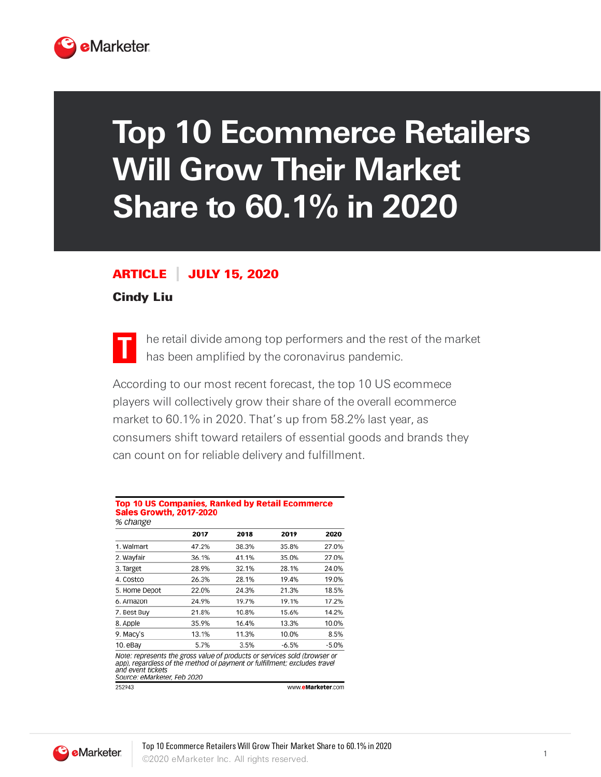

## **Top 10 Ecommerce Retailers Will Grow Their Market Share to 60.1% in 2020**

## ARTICLE JULY 15, 2020

## Cindy Liu



he retail divide among top performers and the rest of the market has been amplified by the coronavirus pandemic.

According to our most recent forecast, the top 10 US ecommece players will collectively grow their share of the overall ecommerce market to 60.1% in 2020. That's up from 58.2% last year, as consumers shift toward retailers of essential goods and brands they can count on for reliable delivery and fulfillment.

## Top 10 US Companies, Ranked by Retail Ecommerce **Sales Growth, 2017-2020**  $\alpha$  change

|                                                                                                                                                                                                            | 2017  | 2018  | 2019  | 2020              |
|------------------------------------------------------------------------------------------------------------------------------------------------------------------------------------------------------------|-------|-------|-------|-------------------|
| 1. Walmart                                                                                                                                                                                                 | 47.2% | 38.3% | 35.8% | 27.0%             |
| 2. Wayfair                                                                                                                                                                                                 | 36.1% | 41.1% | 35.0% | 27.0%             |
| 3. Target                                                                                                                                                                                                  | 28.9% | 32.1% | 28.1% | 24.0%             |
| 4. Costco                                                                                                                                                                                                  | 26.3% | 28.1% | 19.4% | 19.0%             |
| 5. Home Depot                                                                                                                                                                                              | 22.0% | 24.3% | 21.3% | 18.5%             |
| 6. Amazon                                                                                                                                                                                                  | 24.9% | 19.7% | 19.1% | 17.2%             |
| 7. Best Buy                                                                                                                                                                                                | 21.8% | 10.8% | 15.6% | 14.2%             |
| 8. Apple                                                                                                                                                                                                   | 35.9% | 16.4% | 13.3% | 10.0%             |
| 9. Macy's                                                                                                                                                                                                  | 13.1% | 11.3% | 10.0% | 8.5%              |
| 10. eBay                                                                                                                                                                                                   | 5.7%  | 3.5%  | -6.5% | $-5.0%$           |
| Note: represents the gross value of products or services sold (browser or<br>app), regardless of the method of payment or fulfillment; excludes travel<br>and event tickets<br>Source: eMarketer, Feb 2020 |       |       |       |                   |
| 252943                                                                                                                                                                                                     |       |       |       | www.eMarketer.com |

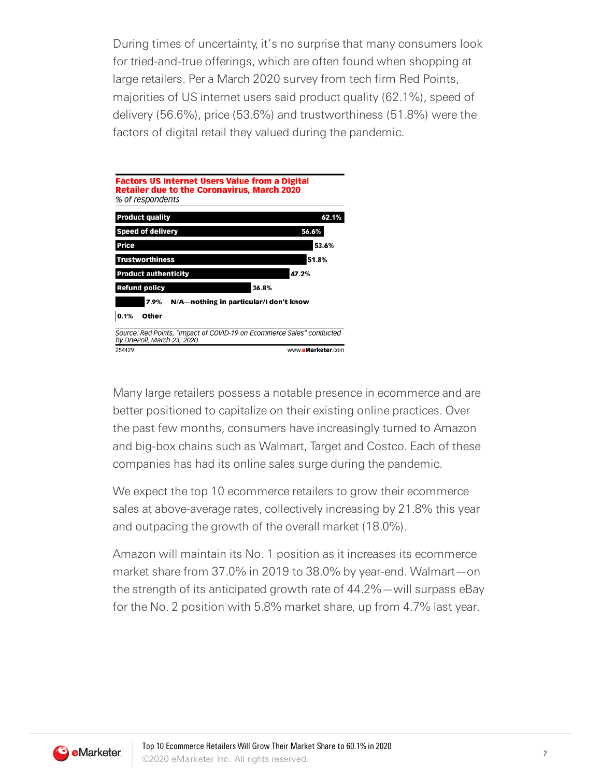During times of uncertainty, it's no surprise that many consumers look for tried-and-true offerings, which are often found when shopping at large retailers. Per a March 2020 survey from tech firm Red Points, majorities of US internet users said product quality (62.1%), speed of delivery (56.6%), price (53.6%) and trustworthiness (51.8%) were the factors of digital retail they valued during the pandemic.



Many large retailers possess a notable presence in ecommerce and are better positioned to capitalize on their existing online practices. Over the past few months, consumers have increasingly turned to Amazon and big-box chains such as Walmart, Target and Costco. Each of these companies has had its online sales surge during the pandemic.

We expect the top 10 ecommerce retailers to grow their ecommerce sales at above-average rates, collectively increasing by 21.8% this year and outpacing the growth of the overall market (18.0%).

Amazon will maintain its No. 1 position as it increases its ecommerce market share from 37.0% in 2019 to 38.0% by year-end. Walmart—on the strength of its anticipated growth rate of 44.2%—will surpass eBay for the No. 2 position with 5.8% market share, up from 4.7% last year.